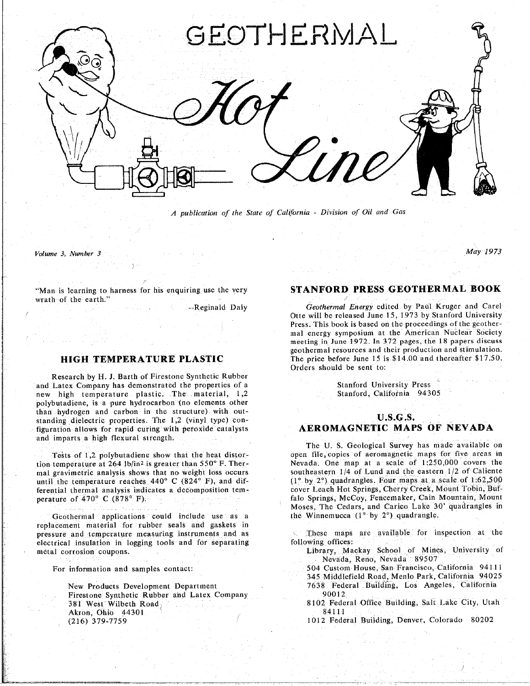

*A publication of the State of CaH*f*brnia* - *Division of Oil and Gas*

*Volume 3*. *Number 3 May 1973*

"Man is learning to harness for his enquiring use the very **S**T**A**NFO**RD PR**E**SS G**EOTHE**R**M**AL B**OOK wrath of the earth."

Research by **H**. J. Barth of Firestone Synthetic Rubber and Latex Company has demonstrated the properties of a Stanford University Press<br>new high temperature plastic. The material, 1,2 Stanford, California 94305 polybutadiene, is a pure hydrocarbon (no elements other than hydrogen and carbon in the structure) with outstanding dielectric properties. The  $1,2$  (vinyl type) configuration allows for rapid curing with peroxide catalysts **AEROMAGNETIC MAPS OF NEVADA** f**i**gurati**o**n allows for rapid curing with peroxide cata**l**y**s***t***s AEROMAGNETIC MAPS** O**F NEVADA**

mal gravimetric analysis shows that no weight loss occurs southeastern 1/4 of Lund and the eastern 1/2 of Caliente until the temperature reaches 440° C (824° F), and dif-<br>(1° by 2°) quadrangles. Four maps at a scale of 1*:62,500* ferential thermal analysis indicates a decomposition tem-<br>cover Leach Hot Springs, Cherry Creek, Mount Tobin, Buf-

**an**d **imparts a** h**ig**h **f**lex**ura**l **str**e**ngt**h**.**

Geothermal applications could include use as a replacement material for rubber seals and gaskets in pressure and temperature measuring instruments and as electrical insulation in logging tools and for separating following offices: electrical corrosion coupons. The separation in logging tools and formulation in logging to the separation of  $\mu$  in logging  $\mu$  in the separation in the separation of  $\mu$  in the separation in the separation of  $\mu$  in

New Products Development Department 7638 Federal *Pirestone Synthetic Rubber* and Latex Company 190012 Akron, Ohio 44301<br>
(216) 379-7759 (216) 80202<br>
(216) 80202 (216) 379-7759 1012 Federal Building, Denver. Colorado 80202

Geothermal Energy edited by Paul Kruger and Carel -Reginald Daly *Geothermal Energy* edited by Paul Kruger and Carel<br>Otte will be released June 15, 1973 by Stanford University Press. This book is based on the proceedings of the geothermal energy symposium at the American Nuclear Society meeting in June 1972. In 372 pages, the 18 papers discuss geothermal resources and their production and stimulation. The price before June 15 is  $$14.00$  and thereafter  $$17.50$ . **HIPPLER AT THE PRICE**  $P$   $\overline{P}$   $\overline{P}$   $\overline{P}$   $\overline{P}$   $\overline{P}$   $\overline{P}$   $\overline{P}$   $\overline{P}$   $\overline{P}$   $\overline{P}$   $\overline{P}$   $\overline{P}$   $\overline{P}$   $\overline{P}$   $\overline{P}$   $\overline{P}$   $\overline{P}$   $\overline{P}$   $\overline{P}$   $\overline{P}$   $\overline{P}$   $\overline{$ Orders should be sent to:

# **U.S.G.S.**

The **U**. **S**. **G**e**ologi**c**al Su**r**ve**y h**as mad**e **avai**l**a**b**l**e **on** Tests of 1,2 polybutadiene show that the heat distor-<br>tion temperature at 264 lb/in<sup>2</sup> is greater than 550° F. Ther-<br>Nevada. One map at a scale of 1:250,000 covers the perature of 470° C (878° F) and the cover Lease a decomposition temperature of 470° C (878° F). Moses, The Cedars, and Carico Lake 30' quadrangles in the Winnemucca (1<sup>o</sup> by 2<sup>o</sup>) quadrangle.

These maps are available for inspection at the

Nevada, Reno, Nevada 89507

- 504 Custom House, San Francisco, California 94111 For information and samples contact: 504 *C*ustom House. San Francisco. *C*alifor**n**ia 94111
	- 7638 Federal Building, Los Angeles, California
	- First State State State City, Utah State City, Utah State City, Utah  $\frac{381111}{84111}$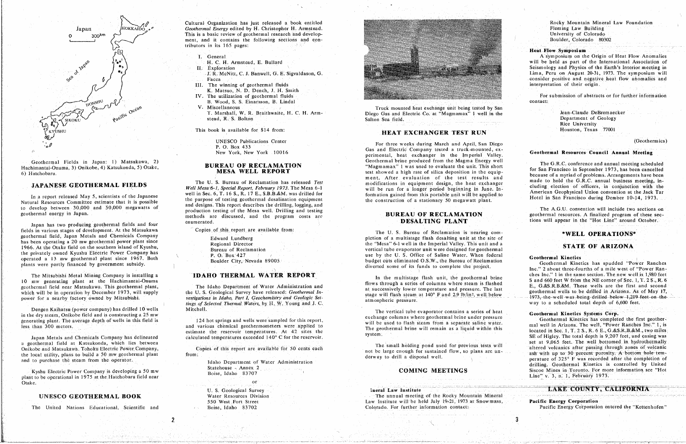

Geothermal Fields in Japan: 1) Matsukawa, 2) Hachimantai-Onuma, 3) Onikobe, 4) Katsukonda, 5) Otake, 6) Hatchobaru.

# **JAPANESE GEOTHERMAL FIELDS**

In a report released May 5, scientists of the Japanese Natural Resources Committee estimate that it is possible to develop between 30,000 and 50,000 megawatts of geothermal energy in Japan.

Japan has two producing geothermal fields and four fields in various stages of development. At the Matsukawa geothermal field, Japan Metals and Chemicals Company has been operating a 20 mw geothermal power plant since 1966. At the Otake field on the southern island of Kyushu, the privately owned Kyushu Electric Power Company has operated a 13 mw geothermal plant since 1967. Both plants were partly financed by government subsidy.

The Mitsubishi Metal Mining Company is installing a 10 mw generating plant at the Hachimantai-Onuma geothermal field near Matsukawa. This geothermal plant, which will be in operation by December 1973, will supply power for a nearby factory owned by Mitsubishi.

Dengen Kaihatsu (power company) has drilled 10 wells in the dry steam, Onikobe field and is constructing a 25 mw generating plant. The average depth of wells in this field is less than 300 meters.

Japan Metals and Chemicals Company has delineated a geothermal field at Katsukonda, which lies between Onikobe and Matsukawa. Tohoku Electric Power Company, the local utility, plans to build a 50 mw geothermal plant and to purchase the steam from the operator.

Kyshu Electric Power Company is developing a 50 mw plant to be operational in 1975 at the Hatchobaru field near Otake.

# UNESCO GEOTHERMAL BOOK

The United Nations Educational, Scientific and

Cultural Organization has just released a book entitled Geothermal Energy edited by H. Christopher H. Armstead. This is a basic review of geothermal research and development, and it contains the following sections and contributors in its 165 pages:

I. General

- H. C. H. Armstead, E. Bullard
- II. Exploration
- J. R. McNitt, C. J. Banwell, G. E. Sigvaldason, G. Facca
- III. The winning of geothermal fluids K. Matsuo, N. D. Dench, J. H. Smith
- IV. The utilization of geothermal fluids B. Wood, S. S. Einarsson, B. Lindal
- V. Miscellaneous T. Marshall, W. R. Braithwaite, H. C. H. Arm-
- stead, R. S. Bolton

This book is available for \$14 from:

**UNESCO Publications Center** P. O. Box 433 New York, New York 10016

### **BUREAU OF RECLAMATION MESA WELL REPORT**

The U. S. Bureau of Reclamation has released Test Well Mesa 6-1, Special Report, February 1973. The Mesa 6-1 well in Sec. 6, T. 16 S., R. 17 E., S.B.B.&M. was drilled for the purpose of testing geothermal desalination equipment and designs. This report describes the drilling, logging, and production testing of the Mesa well. Drilling and testing methods are discussed, and the program costs are enumerated.

Copies of this report are available from:

Edward Lundberg Regional Director Bureau of Reclamation P. O. Box 427 Boulder City, Nevada 89005

# **IDAHO THERMAL WATER REPORT**

The Idaho Department of Water Administration and the U.S. Geological Survey have released: Geothermal Investigations in Idaho, Part I, Geochemistry and Geologic Settings of Selected Thermal Waters, by H. W. Young and J. C. Mitchell.

124 hot springs and wells were sampled for this report, and various chemical geothermometers were applied to estimate the reservoir temperatures. At 42 sites the calculated temperatures exceeded 140° C for the reservoir.

Copies of this report are available for 50 cents each from:

> Idaho Department of Water Administration Statehouse - Annex 2 Boise, Idaho 83707

U. S. Geological Survey Water Resources Division 550 West Fort Street Boise, Idaho 83702

 $\overline{2}$ 



Truck mounted heat exchange unit being tested by San Diego Gas and Electric Co. at "Magmamax" 1 well in the Salton Sea field.

# HEAT EXCHANGER TEST RUN

For three weeks during March and April, San Diego Gas and Electric Company tested a truck-mounted, experimental, heat exchanger in the Imperial Valley. Geothermal brine produced from the Magma Energy well "Magmamax" 1 was used to evaluate the unit. This short test showed a high rate of silica deposition in the equipment. After evaluation of the test results and modifications in equipment design, the heat exchanger will be run for a longer period beginning in June. Information gained from this portable unit will be applied to the construction of a stationary 50 megawatt plant.

# **BUREAU OF RECLAMATION** DESALTING PLANT

The U. S. Bureau of Reclamation is nearing completion of a multistage flash desalting unit at the site of the "Mesa" 6-1 well in the Imperial Valley. This unit and a vertical tube evaporator unit were designed for geothermal use by the U. S. Office of Saline Water. When federal budget cuts eliminated O.S.W., the Bureau of Reclamation diverted some of its funds to complete the project.

In the multistage flash unit, the geothermal brine flows through a series of columns where steam is flashed at successively lower temperature and pressure. The last stage will flash steam at 140° F and 2.9 lb/in2, well below atmospheric pressure.

The vertical tube evaporator contains a series of heat exchange columns where geothermal brine under pressure will be used to flash steam from a separate saline water. The geothermal brine will remain as a liquid within this system:

The small holding pond used for previous tests will not be large enough for sustained flow, so plans are underway to drill a disposal well.

## **COMING MEETINGS**

ineral Law Institute The annual meeting of the Rocky Mountain Mineral Law Institute will be held July 19-21, 1973 at Snowmass, Colorado. For further information contact.

Rocky Mountain Mineral Law Foundation Fleming Law Building University of Colorado Boulder, Colorado 80302

**Heat Flow Symposium** 

A symposium on the Origin of Heat Flow Anomalies will be held as part of the International Association of Seismology and Physics of the Earth's Interior meeting in Lima, Peru on August 20-31, 1973. The symposium will consider positive and negative heat flow anomalies and interpretation of their origin.

For submission of abstracts or for further information contact:

> Jean-Claude DeBremaecker Department of Geology Rice University Houston, Texas 77001

### (Geothermics)

### Geothermal Resources Council Annual Meeting

The G.R.C. conference and annual meeting scheduled for San Francisco in September 1973, has been cancelled because of a myriad of problems. Arrangements have been made to hold the G.R.C. annual business meeting, including election of officers, in conjunction with the American Geophysical Union convention at the Jack Tar Hotel in San Francisco during Dember 10-14, 1973.

The A.G.U. convention will include two sections on geothermal resources. A finalized program of these sections will appear in the "Hot Line" around October.

### \*WELL OPERATIONS\*

### **STATE OF ARIZONA**

**Geothermal Kinetics** 

-3

Geothermal Kinetics has spudded "Power Ranches Inc." 2 about three-fourths of a mile west of "Power Ranches Inc." 1 in the same section. The new well is 1,980 feet S and 660 feet W from the NE corner of Sec. 1, T. 2 S., R. 6 E., G.&S.R.B.&M. These wells are the first and second geothermal wells to be drilled in Arizona. As of May 17, 1973, the well was being drilled below 1,219 feet on the way to a scheduled total depth of 6,600 feet.

### Geothermal Kinetics Systems Corp.

Geothermal Kinetics has completed the first geothermal well in Arizona. The well, "Power Ranches Inc." 1, is located in Sec. 1, T. 2 S., R. 6 E., G.&S.R.B.&M., two miles SE of Higley. The total depth is 9,207 feet, and casing was set at 9,065 feet. The well bottomed in hydrothermally altered volcanics after passing through zones of volcanic ash with up to 30 percent porosity. A bottom hole temperature of 325° F was recorded after the completion of drilling. Geothermal Kinetics is controlled by United Siscoe Mines in Toronto. For more information see "Hot Line" v. 3, n. 1, February 1973.

LAKE COUNTY, CALIFORNIA

Pacific Energy Corporation Pacific Energy Corporation entered the "Kettenhofen"